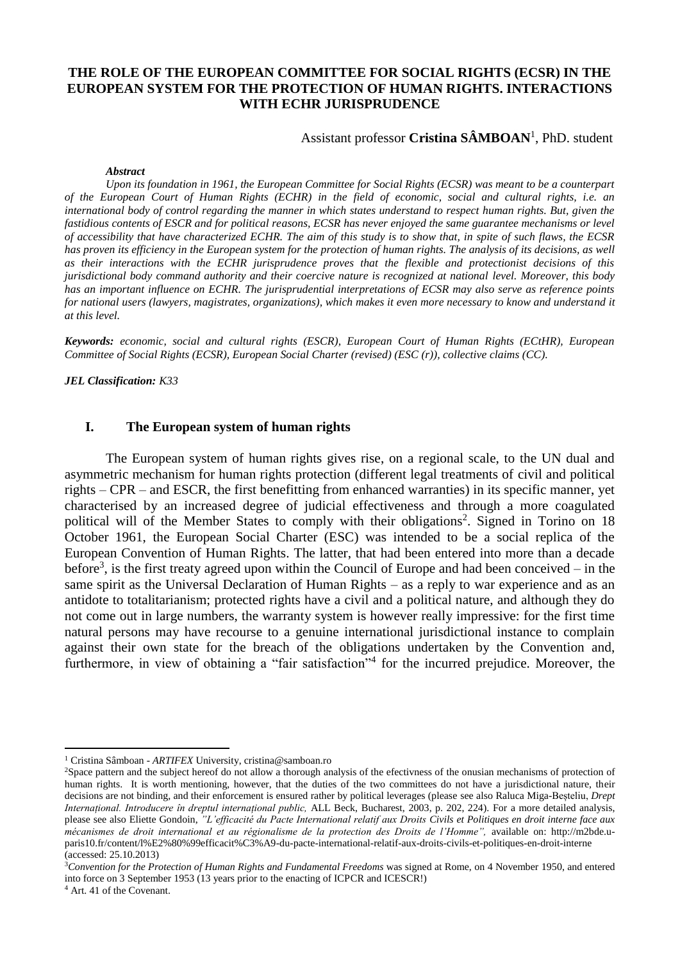# **THE ROLE OF THE EUROPEAN COMMITTEE FOR SOCIAL RIGHTS (ECSR) IN THE EUROPEAN SYSTEM FOR THE PROTECTION OF HUMAN RIGHTS. INTERACTIONS WITH ECHR JURISPRUDENCE**

## Assistant professor Cristina SÂMBOAN<sup>1</sup>, PhD. student

#### *Abstract*

*Upon its foundation in 1961, the European Committee for Social Rights (ECSR) was meant to be a counterpart of the European Court of Human Rights (ECHR) in the field of economic, social and cultural rights, i.e. an international body of control regarding the manner in which states understand to respect human rights. But, given the fastidious contents of ESCR and for political reasons, ECSR has never enjoyed the same guarantee mechanisms or level of accessibility that have characterized ECHR. The aim of this study is to show that, in spite of such flaws, the ECSR has proven its efficiency in the European system for the protection of human rights. The analysis of its decisions, as well as their interactions with the ECHR jurisprudence proves that the flexible and protectionist decisions of this jurisdictional body command authority and their coercive nature is recognized at national level. Moreover, this body has an important influence on ECHR. The jurisprudential interpretations of ECSR may also serve as reference points for national users (lawyers, magistrates, organizations), which makes it even more necessary to know and understand it at this level.* 

*Keywords: economic, social and cultural rights (ESCR), European Court of Human Rights (ECtHR), European Committee of Social Rights (ECSR), European Social Charter (revised) (ESC (r)), collective claims (CC).*

*JEL Classification: K33*

### **I. The European system of human rights**

The European system of human rights gives rise, on a regional scale, to the UN dual and asymmetric mechanism for human rights protection (different legal treatments of civil and political rights – CPR – and ESCR, the first benefitting from enhanced warranties) in its specific manner, yet characterised by an increased degree of judicial effectiveness and through a more coagulated political will of the Member States to comply with their obligations<sup>2</sup>. Signed in Torino on 18 October 1961, the European Social Charter (ESC) was intended to be a social replica of the European Convention of Human Rights. The latter, that had been entered into more than a decade before<sup>3</sup>, is the first treaty agreed upon within the Council of Europe and had been conceived – in the same spirit as the Universal Declaration of Human Rights – as a reply to war experience and as an antidote to totalitarianism; protected rights have a civil and a political nature, and although they do not come out in large numbers, the warranty system is however really impressive: for the first time natural persons may have recourse to a genuine international jurisdictional instance to complain against their own state for the breach of the obligations undertaken by the Convention and, furthermore, in view of obtaining a "fair satisfaction"<sup>4</sup> for the incurred prejudice. Moreover, the

<sup>3</sup>*Convention for the Protection of Human Rights and Fundamental Freedoms* was signed at Rome, on 4 November 1950, and entered into force on 3 September 1953 (13 years prior to the enacting of ICPCR and ICESCR!)

<sup>4</sup> Art. 41 of the Covenant.

1

<sup>1</sup> Cristina Sâmboan - *ARTIFEX* University, cristina@samboan.ro

<sup>2</sup>Space pattern and the subject hereof do not allow a thorough analysis of the efectivness of the onusian mechanisms of protection of human rights. It is worth mentioning, however, that the duties of the two committees do not have a jurisdictional nature, their decisions are not binding, and their enforcement is ensured rather by political leverages (please see also Raluca Miga-Beșteliu, *Drept Internațional. Introducere în dreptul internațional public,* ALL Beck, Bucharest, 2003, p. 202, 224). For a more detailed analysis, please see also Eliette Gondoin, *"L'efficacité du Pacte International relatif aux Droits Civils et Politiques en droit interne face aux mécanismes de droit international et au régionalisme de la protection des Droits de l'Homme", available on: http://m2bde.u*paris10.fr/content/l%E2%80%99efficacit%C3%A9-du-pacte-international-relatif-aux-droits-civils-et-politiques-en-droit-interne (accessed: 25.10.2013)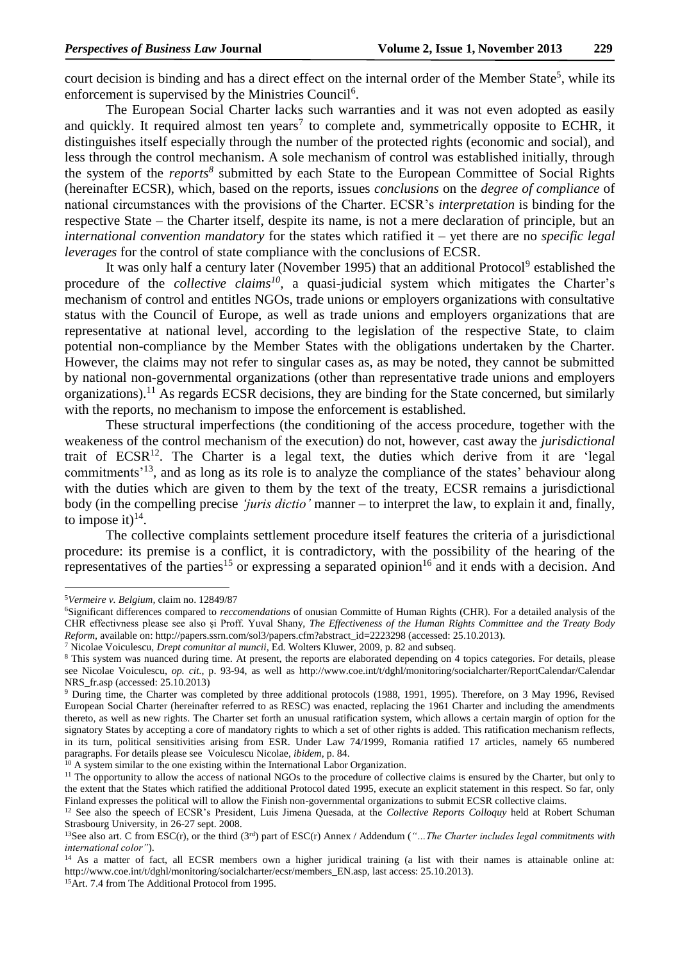court decision is binding and has a direct effect on the internal order of the Member State<sup>5</sup>, while its enforcement is supervised by the Ministries Council<sup>6</sup>.

The European Social Charter lacks such warranties and it was not even adopted as easily and quickly. It required almost ten years<sup>7</sup> to complete and, symmetrically opposite to ECHR, it distinguishes itself especially through the number of the protected rights (economic and social), and less through the control mechanism. A sole mechanism of control was established initially, through the system of the *reports<sup>8</sup>* submitted by each State to the European Committee of Social Rights (hereinafter ECSR), which, based on the reports, issues *conclusions* on the *degree of compliance* of national circumstances with the provisions of the Charter. ECSR's *interpretation* is binding for the respective State – the Charter itself, despite its name, is not a mere declaration of principle, but an *international convention mandatory* for the states which ratified it – yet there are no *specific legal leverages* for the control of state compliance with the conclusions of ECSR.

It was only half a century later (November 1995) that an additional Protocol<sup>9</sup> established the procedure of the *collective claims<sup>10</sup>*, a quasi-judicial system which mitigates the Charter's mechanism of control and entitles NGOs, trade unions or employers organizations with consultative status with the Council of Europe, as well as trade unions and employers organizations that are representative at national level, according to the legislation of the respective State, to claim potential non-compliance by the Member States with the obligations undertaken by the Charter. However, the claims may not refer to singular cases as, as may be noted, they cannot be submitted by national non-governmental organizations (other than representative trade unions and employers organizations).<sup>11</sup> As regards ECSR decisions, they are binding for the State concerned, but similarly with the reports, no mechanism to impose the enforcement is established.

These structural imperfections (the conditioning of the access procedure, together with the weakeness of the control mechanism of the execution) do not, however, cast away the *jurisdictional* trait of ECSR<sup>12</sup>. The Charter is a legal text, the duties which derive from it are 'legal commitments<sup>'13</sup>, and as long as its role is to analyze the compliance of the states' behaviour along with the duties which are given to them by the text of the treaty, ECSR remains a jurisdictional body (in the compelling precise *'juris dictio'* manner – to interpret the law, to explain it and, finally, to impose it) $^{14}$ .

The collective complaints settlement procedure itself features the criteria of a jurisdictional procedure: its premise is a conflict, it is contradictory, with the possibility of the hearing of the representatives of the parties<sup>15</sup> or expressing a separated opinion<sup>16</sup> and it ends with a decision. And

1

<sup>5</sup>*Vermeire v. Belgium,* claim no. 12849/87

<sup>6</sup>Significant differences compared to *reccomendations* of onusian Committe of Human Rights (CHR). For a detailed analysis of the CHR effectivness please see also și Proff. Yuval Shany, *The Effectiveness of the Human Rights Committee and the Treaty Body Reform,* available on: http://papers.ssrn.com/sol3/papers.cfm?abstract\_id=2223298 (accessed: 25.10.2013).

<sup>7</sup> Nicolae Voiculescu, *Drept comunitar al muncii,* Ed. Wolters Kluwer, 2009, p. 82 and subseq.

<sup>&</sup>lt;sup>8</sup> This system was nuanced during time. At present, the reports are elaborated depending on 4 topics categories. For details, please see Nicolae Voiculescu, *op. cit.*, p. 93-94, as well as http://www.coe.int/t/dghl/monitoring/socialcharter/ReportCalendar/Calendar NRS\_fr.asp (accessed: 25.10.2013)

<sup>9</sup> During time, the Charter was completed by three additional protocols (1988, 1991, 1995). Therefore, on 3 May 1996, Revised European Social Charter (hereinafter referred to as RESC) was enacted, replacing the 1961 Charter and including the amendments thereto, as well as new rights. The Charter set forth an unusual ratification system, which allows a certain margin of option for the signatory States by accepting a core of mandatory rights to which a set of other rights is added. This ratification mechanism reflects, in its turn, political sensitivities arising from ESR. Under Law 74/1999, Romania ratified 17 articles, namely 65 numbered paragraphs. For details please see Voiculescu Nicolae, *ibidem,* p. 84.

 $10$  A system similar to the one existing within the International Labor Organization.

<sup>&</sup>lt;sup>11</sup> The opportunity to allow the access of national NGOs to the procedure of collective claims is ensured by the Charter, but only to the extent that the States which ratified the additional Protocol dated 1995, execute an explicit statement in this respect. So far, only Finland expresses the political will to allow the Finish non-governmental organizations to submit ECSR collective claims.

<sup>&</sup>lt;sup>12</sup> See also the speech of ECSR's President, Luis Jimena Quesada, at the *Collective Reports Colloquy* held at Robert Schuman Strasbourg University, in 26-27 sept. 2008.

<sup>13</sup>See also art. C from ESC(r), or the third (3rd) part of ESC(r) Annex / Addendum (*"…The Charter includes legal commitments with international color"*).

<sup>&</sup>lt;sup>14</sup> As a matter of fact, all ECSR members own a higher juridical training (a list with their names is attainable online at: http://www.coe.int/t/dghl/monitoring/socialcharter/ecsr/members\_EN.asp, last access: 25.10.2013).

<sup>15</sup>Art. 7.4 from The Additional Protocol from 1995.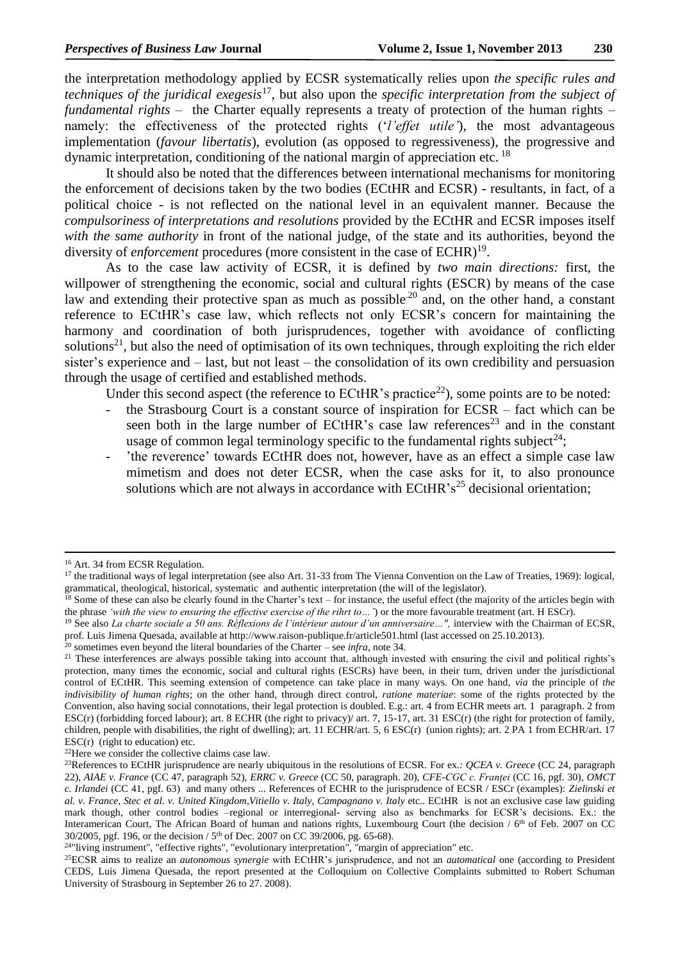the interpretation methodology applied by ECSR systematically relies upon *the specific rules and techniques of the juridical exegesis*<sup>17</sup>, but also upon the *specific interpretation from the subject of fundamental rights* – the Charter equally represents a treaty of protection of the human rights – namely: the effectiveness of the protected rights ('*l'effet utile'*), the most advantageous implementation (*favour libertatis*), evolution (as opposed to regressiveness), the progressive and dynamic interpretation, conditioning of the national margin of appreciation etc.<sup>18</sup>

It should also be noted that the differences between international mechanisms for monitoring the enforcement of decisions taken by the two bodies (ECtHR and ECSR) - resultants, in fact, of a political choice - is not reflected on the national level in an equivalent manner. Because the *compulsoriness of interpretations and resolutions* provided by the ECtHR and ECSR imposes itself *with the same authority* in front of the national judge, of the state and its authorities, beyond the diversity of *enforcement* procedures (more consistent in the case of ECHR)<sup>19</sup>.

As to the case law activity of ECSR, it is defined by *two main directions:* first, the willpower of strengthening the economic, social and cultural rights (ESCR) by means of the case law and extending their protective span as much as possible<sup>20</sup> and, on the other hand, a constant reference to ECtHR's case law, which reflects not only ECSR's concern for maintaining the harmony and coordination of both jurisprudences, together with avoidance of conflicting solutions<sup>21</sup>, but also the need of optimisation of its own techniques, through exploiting the rich elder sister's experience and – last, but not least – the consolidation of its own credibility and persuasion through the usage of certified and established methods.

Under this second aspect (the reference to  $ECHR$ 's practice<sup>22</sup>), some points are to be noted:

- the Strasbourg Court is a constant source of inspiration for  $ECSR$  fact which can be seen both in the large number of ECtHR's case law references<sup>23</sup> and in the constant usage of common legal terminology specific to the fundamental rights subject<sup>24</sup>;
- 'the reverence' towards ECtHR does not, however, have as an effect a simple case law mimetism and does not deter ECSR, when the case asks for it, to also pronounce solutions which are not always in accordance with ECtHR's<sup>25</sup> decisional orientation;

-

<sup>&</sup>lt;sup>16</sup> Art. 34 from ECSR Regulation.

<sup>&</sup>lt;sup>17</sup> the traditional ways of legal interpretation (see also Art. 31-33 from The Vienna Convention on the Law of Treaties, 1969): logical, grammatical, theological, historical, systematic and authentic interpretation (the will of the legislator).

 $^{18}$  Some of these can also be clearly found in the Charter's text – for instance, the useful effect (the majority of the articles begin with the phrase *'with the view to ensuring the effective exercise of the rihrt to…'*) or the more favourable treatment (art. H ESCr).

<sup>&</sup>lt;sup>19</sup> See also *La charte sociale a 50 ans. Réflexions de l'intérieur autour d'un anniversaire…", interview with the Chairman of ECSR,* prof. Luis Jimena Quesada, available at http://www.raison-publique.fr/article501.html (last accessed on 25.10.2013).

<sup>20</sup> sometimes even beyond the literal boundaries of the Charter – see *infra*, note 34.

<sup>&</sup>lt;sup>21</sup> These interferences are always possible taking into account that, although invested with ensuring the civil and political rights's protection, many times the economic, social and cultural rights (ESCRs) have been, in their turn, driven under the jurisdictional control of ECtHR. This seeming extension of competence can take place in many ways. On one hand, *via* the principle of *the indivisibility of human rights*; on the other hand, through direct control, *ratione materiae*: some of the rights protected by the Convention, also having social connotations, their legal protection is doubled. E.g.: art. 4 from ECHR meets art. 1 paragraph. 2 from ESC(r) (forbidding forced labour); art. 8 ECHR (the right to privacy)/ art. 7, 15-17, art. 31 ESC(r) (the right for protection of family, children, people with disabilities, the right of dwelling); art. 11 ECHR/art. 5, 6 ESC(r) (union rights); art. 2 PA 1 from ECHR/art. 17  $\text{ESC}(r)$  (right to education) etc.

<sup>22</sup>Here we consider the collective claims case law.

<sup>23</sup>References to ECtHR jurisprudence are nearly ubiquitous in the resolutions of ECSR. For ex*.: QCEA v. Greece* (CC 24, paragraph 22), *AIAE v. France* (CC 47, paragraph 52), *ERRC v. Greece* (CC 50, paragraph. 20), *CFE-CGC c. Franței* (CC 16, pgf. 30), *OMCT c. Irlandei* (CC 41, pgf. 63) and many others ... References of ECHR to the jurisprudence of ECSR / ESCr (examples): *Zielinski et al. v. France, Stec et al. v. United Kingdom,Vitiello v. Italy*, *Campagnano v. Italy* etc.. ECtHR is not an exclusive case law guiding mark though, other control bodies –regional or interregional- serving also as benchmarks for ECSR's decisions. Ex.: the Interamerican Court, The African Board of human and nations rights, Luxembourg Court (the decision / 6<sup>th</sup> of Feb. 2007 on CC 30/2005, pgf. 196, or the decision / 5 th of Dec. 2007 on CC 39/2006, pg. 65-68).

<sup>&</sup>lt;sup>24</sup>"living instrument", "effective rights", "evolutionary interpretation", "margin of appreciation" etc.

<sup>25</sup>ECSR aims to realize an *autonomous synergie* with ECtHR's jurisprudence, and not an *automatical* one (according to President CEDS, Luis Jimena Quesada, the report presented at the Colloquium on Collective Complaints submitted to Robert Schuman University of Strasbourg in September 26 to 27. 2008).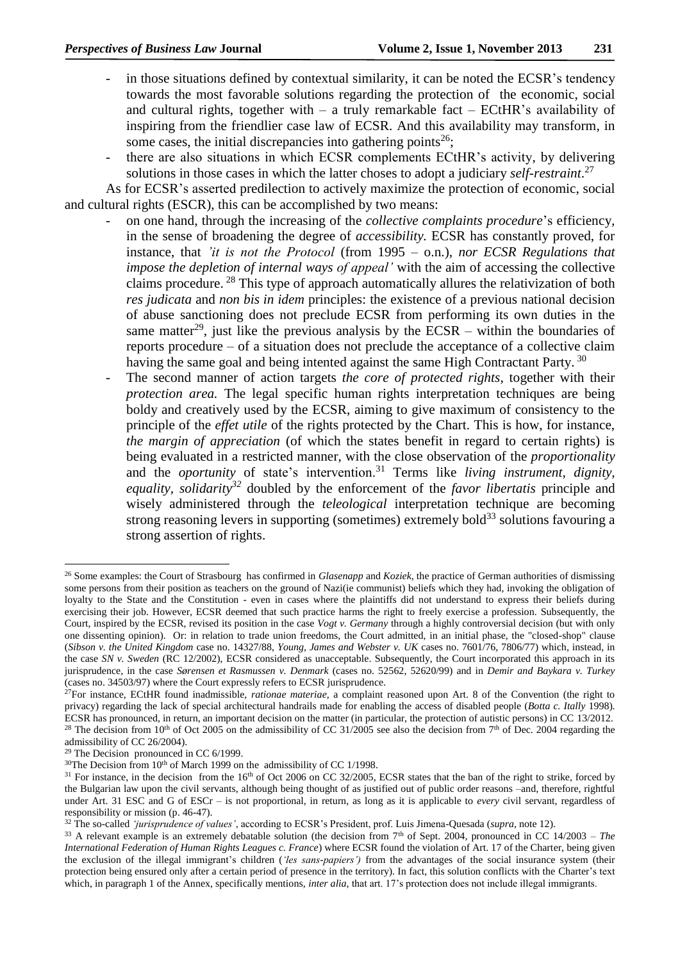- in those situations defined by contextual similarity, it can be noted the ECSR's tendency towards the most favorable solutions regarding the protection of the economic, social and cultural rights, together with  $-$  a truly remarkable fact  $-$  ECtHR's availability of inspiring from the friendlier case law of ECSR. And this availability may transform, in some cases, the initial discrepancies into gathering points<sup>26</sup>;
- there are also situations in which ECSR complements ECtHR's activity, by delivering solutions in those cases in which the latter choses to adopt a judiciary *self-restraint*. 27

As for ECSR's asserted predilection to actively maximize the protection of economic, social and cultural rights (ESCR), this can be accomplished by two means:

- on one hand, through the increasing of the *collective complaints procedure*'s efficiency*,*  in the sense of broadening the degree of *accessibility.* ECSR has constantly proved, for instance, that *'it is not the Protocol* (from 1995 – o.n.)*, nor ECSR Regulations that impose the depletion of internal ways of appeal'* with the aim of accessing the collective claims procedure. <sup>28</sup> This type of approach automatically allures the relativization of both *res judicata* and *non bis in idem* principles: the existence of a previous national decision of abuse sanctioning does not preclude ECSR from performing its own duties in the same matter<sup>29</sup>, just like the previous analysis by the ECSR – within the boundaries of reports procedure – of a situation does not preclude the acceptance of a collective claim having the same goal and being intented against the same High Contractant Party.<sup>30</sup>
- The second manner of action targets *the core of protected rights*, together with their *protection area.* The legal specific human rights interpretation techniques are being boldy and creatively used by the ECSR, aiming to give maximum of consistency to the principle of the *effet utile* of the rights protected by the Chart. This is how, for instance, *the margin of appreciation* (of which the states benefit in regard to certain rights) is being evaluated in a restricted manner, with the close observation of the *proportionality*  and the *oportunity* of state's intervention.<sup>31</sup> Terms like *living instrument, dignity, equality, solidarity<sup>32</sup>* doubled by the enforcement of the *favor libertatis* principle and wisely administered through the *teleological* interpretation technique are becoming strong reasoning levers in supporting (sometimes) extremely bold<sup>33</sup> solutions favouring a strong assertion of rights.

-

<sup>26</sup> Some examples: the Court of Strasbourg has confirmed in *Glasenapp* and *Koziek,* the practice of German authorities of dismissing some persons from their position as teachers on the ground of Nazi(ie communist) beliefs which they had, invoking the obligation of loyalty to the State and the Constitution - even in cases where the plaintiffs did not understand to express their beliefs during exercising their job. However, ECSR deemed that such practice harms the right to freely exercise a profession. Subsequently, the Court, inspired by the ECSR, revised its position in the case *Vogt v. Germany* through a highly controversial decision (but with only one dissenting opinion). Or: in relation to trade union freedoms, the Court admitted, in an initial phase, the "closed-shop" clause (*Sibson v. the United Kingdom* case no. 14327/88, *Young, James and Webster v. UK* cases no. 7601/76, 7806/77) which, instead, in the case *SN v. Sweden* (RC 12/2002), ECSR considered as unacceptable. Subsequently, the Court incorporated this approach in its jurisprudence, in the case *Sørensen et Rasmussen v. Denmark* (cases no. 52562, 52620/99) and in *Demir and Baykara v. Turkey*  (cases no. 34503/97) where the Court expressly refers to ECSR jurisprudence.

<sup>27</sup>For instance, ECtHR found inadmissible, *rationae materiae,* a complaint reasoned upon Art. 8 of the Convention (the right to privacy) regarding the lack of special architectural handrails made for enabling the access of disabled people (*Botta c. Itally* 1998). ECSR has pronounced, in return, an important decision on the matter (in particular, the protection of autistic persons) in CC 13/2012. <sup>28</sup> The decision from 10<sup>th</sup> of Oct 2005 on the admissibility of CC 31/2005 see also the decision from 7<sup>th</sup> of Dec. 2004 regarding the

admissibility of CC 26/2004).

 $29$  The Decision pronounced in CC 6/1999.

 $30$ The Decision from  $10<sup>th</sup>$  of March 1999 on the admissibility of CC 1/1998.

 $31$  For instance, in the decision from the 16<sup>th</sup> of Oct 2006 on CC 32/2005, ECSR states that the ban of the right to strike, forced by the Bulgarian law upon the civil servants, although being thought of as justified out of public order reasons –and, therefore, rightful under Art. 31 ESC and G of ESCr – is not proportional, in return, as long as it is applicable to *every* civil servant, regardless of responsibility or mission (p. 46-47).

<sup>32</sup> The so-called *'jurisprudence of values'*, according to ECSR's President, prof. Luis Jimena-Quesada (*supra,* note 12).

<sup>&</sup>lt;sup>33</sup> A relevant example is an extremely debatable solution (the decision from  $7<sup>th</sup>$  of Sept. 2004, pronounced in CC 14/2003 – *The International Federation of Human Rights Leagues c. France*) where ECSR found the violation of Art. 17 of the Charter, being given the exclusion of the illegal immigrant's children (*'les sans-papiers')* from the advantages of the social insurance system (their protection being ensured only after a certain period of presence in the territory). In fact, this solution conflicts with the Charter's text which, in paragraph 1 of the Annex, specifically mentions, *inter alia*, that art. 17's protection does not include illegal immigrants.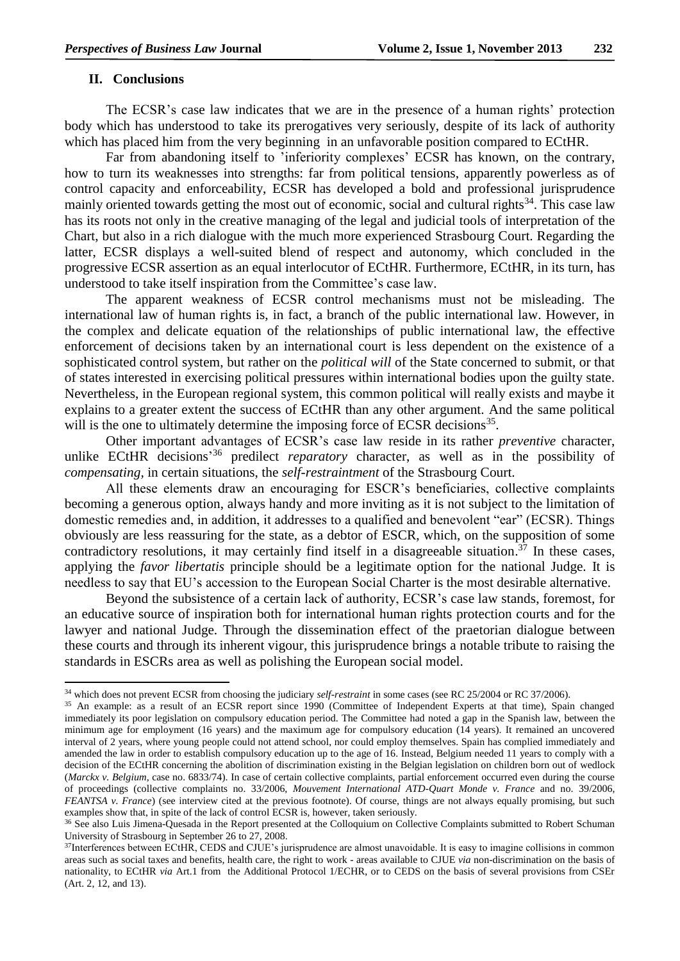## **II. Conclusions**

1

The ECSR's case law indicates that we are in the presence of a human rights' protection body which has understood to take its prerogatives very seriously, despite of its lack of authority which has placed him from the very beginning in an unfavorable position compared to ECtHR.

Far from abandoning itself to 'inferiority complexes' ECSR has known, on the contrary, how to turn its weaknesses into strengths: far from political tensions, apparently powerless as of control capacity and enforceability, ECSR has developed a bold and professional jurisprudence mainly oriented towards getting the most out of economic, social and cultural rights<sup>34</sup>. This case law has its roots not only in the creative managing of the legal and judicial tools of interpretation of the Chart, but also in a rich dialogue with the much more experienced Strasbourg Court. Regarding the latter, ECSR displays a well-suited blend of respect and autonomy, which concluded in the progressive ECSR assertion as an equal interlocutor of ECtHR. Furthermore, ECtHR, in its turn, has understood to take itself inspiration from the Committee's case law.

The apparent weakness of ECSR control mechanisms must not be misleading. The international law of human rights is, in fact, a branch of the public international law. However, in the complex and delicate equation of the relationships of public international law, the effective enforcement of decisions taken by an international court is less dependent on the existence of a sophisticated control system, but rather on the *political will* of the State concerned to submit, or that of states interested in exercising political pressures within international bodies upon the guilty state. Nevertheless, in the European regional system, this common political will really exists and maybe it explains to a greater extent the success of ECtHR than any other argument. And the same political will is the one to ultimately determine the imposing force of ECSR decisions<sup>35</sup>.

Other important advantages of ECSR's case law reside in its rather *preventive* character, unlike ECtHR decisions<sup>36</sup> predilect *reparatory* character, as well as in the possibility of *compensating,* in certain situations, the *self-restraintment* of the Strasbourg Court.

All these elements draw an encouraging for ESCR's beneficiaries, collective complaints becoming a generous option, always handy and more inviting as it is not subject to the limitation of domestic remedies and, in addition, it addresses to a qualified and benevolent "ear" (ECSR). Things obviously are less reassuring for the state, as a debtor of ESCR, which, on the supposition of some contradictory resolutions, it may certainly find itself in a disagreeable situation.<sup>37</sup> In these cases, applying the *favor libertatis* principle should be a legitimate option for the national Judge. It is needless to say that EU's accession to the European Social Charter is the most desirable alternative.

Beyond the subsistence of a certain lack of authority, ECSR's case law stands, foremost, for an educative source of inspiration both for international human rights protection courts and for the lawyer and national Judge. Through the dissemination effect of the praetorian dialogue between these courts and through its inherent vigour, this jurisprudence brings a notable tribute to raising the standards in ESCRs area as well as polishing the European social model.

<sup>34</sup> which does not prevent ECSR from choosing the judiciary *self-restraint* in some cases (see RC 25/2004 or RC 37/2006).

<sup>&</sup>lt;sup>35</sup> An example: as a result of an ECSR report since 1990 (Committee of Independent Experts at that time), Spain changed immediately its poor legislation on compulsory education period. The Committee had noted a gap in the Spanish law, between the minimum age for employment (16 years) and the maximum age for compulsory education (14 years). It remained an uncovered interval of 2 years, where young people could not attend school, nor could employ themselves. Spain has complied immediately and amended the law in order to establish compulsory education up to the age of 16. Instead, Belgium needed 11 years to comply with a decision of the ECtHR concerning the abolition of discrimination existing in the Belgian legislation on children born out of wedlock (*Marckx v. Belgium*, case no. 6833/74). In case of certain collective complaints, partial enforcement occurred even during the course of proceedings (collective complaints no. 33/2006, *Mouvement International ATD-Quart Monde v. France* and no. 39/2006, *FEANTSA v. France*) (see interview cited at the previous footnote). Of course, things are not always equally promising, but such examples show that, in spite of the lack of control ECSR is, however, taken seriously.

<sup>&</sup>lt;sup>36</sup> See also Luis Jimena-Quesada in the Report presented at the Colloquium on Collective Complaints submitted to Robert Schuman University of Strasbourg in September 26 to 27, 2008.

<sup>37</sup>Interferences between ECtHR, CEDS and CJUE's jurisprudence are almost unavoidable. It is easy to imagine collisions in common areas such as social taxes and benefits, health care, the right to work - areas available to CJUE *via* non-discrimination on the basis of nationality, to ECtHR *via* Art.1 from the Additional Protocol 1/ECHR, or to CEDS on the basis of several provisions from CSEr (Art. 2, 12, and 13).